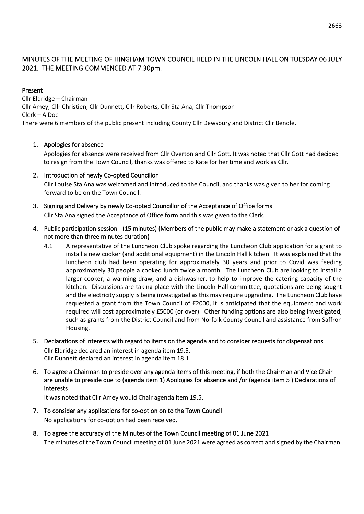# MINUTES OF THE MEETING OF HINGHAM TOWN COUNCIL HELD IN THE LINCOLN HALL ON TUESDAY 06 JULY 2021. THE MEETING COMMENCED AT 7.30pm.

## Present

Cllr Eldridge – Chairman Cllr Amey, Cllr Christien, Cllr Dunnett, Cllr Roberts, Cllr Sta Ana, Cllr Thompson Clerk – A Doe There were 6 members of the public present including County Cllr Dewsbury and District Cllr Bendle.

## 1. Apologies for absence

Apologies for absence were received from Cllr Overton and Cllr Gott. It was noted that Cllr Gott had decided to resign from the Town Council, thanks was offered to Kate for her time and work as Cllr.

2. Introduction of newly Co-opted Councillor

Cllr Louise Sta Ana was welcomed and introduced to the Council, and thanks was given to her for coming forward to be on the Town Council.

- 3. Signing and Delivery by newly Co-opted Councillor of the Acceptance of Office forms Cllr Sta Ana signed the Acceptance of Office form and this was given to the Clerk.
- 4. Public participation session (15 minutes) (Members of the public may make a statement or ask a question of not more than three minutes duration)
	- 4.1 A representative of the Luncheon Club spoke regarding the Luncheon Club application for a grant to install a new cooker (and additional equipment) in the Lincoln Hall kitchen. It was explained that the luncheon club had been operating for approximately 30 years and prior to Covid was feeding approximately 30 people a cooked lunch twice a month. The Luncheon Club are looking to install a larger cooker, a warming draw, and a dishwasher, to help to improve the catering capacity of the kitchen. Discussions are taking place with the Lincoln Hall committee, quotations are being sought and the electricity supply is being investigated as this may require upgrading. The Luncheon Club have requested a grant from the Town Council of £2000, it is anticipated that the equipment and work required will cost approximately £5000 (or over). Other funding options are also being investigated, such as grants from the District Council and from Norfolk County Council and assistance from Saffron Housing.
- 5. Declarations of interests with regard to items on the agenda and to consider requests for dispensations Cllr Eldridge declared an interest in agenda item 19.5. Cllr Dunnett declared an interest in agenda item 18.1.
- 6. To agree a Chairman to preside over any agenda items of this meeting, if both the Chairman and Vice Chair are unable to preside due to (agenda item 1) Apologies for absence and /or (agenda item 5 ) Declarations of interests

It was noted that Cllr Amey would Chair agenda item 19.5.

- 7. To consider any applications for co-option on to the Town Council No applications for co-option had been received.
- 8. To agree the accuracy of the Minutes of the Town Council meeting of 01 June 2021 The minutes of the Town Council meeting of 01 June 2021 were agreed as correct and signed by the Chairman.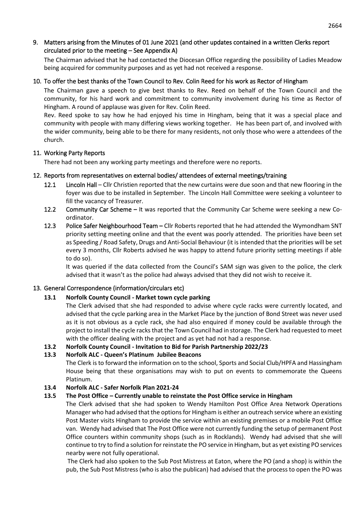## 9. Matters arising from the Minutes of 01 June 2021 (and other updates contained in a written Clerks report circulated prior to the meeting – See Appendix A)

The Chairman advised that he had contacted the Diocesan Office regarding the possibility of Ladies Meadow being acquired for community purposes and as yet had not received a response.

## 10. To offer the best thanks of the Town Council to Rev. Colin Reed for his work as Rector of Hingham

The Chairman gave a speech to give best thanks to Rev. Reed on behalf of the Town Council and the community, for his hard work and commitment to community involvement during his time as Rector of Hingham. A round of applause was given for Rev. Colin Reed.

Rev. Reed spoke to say how he had enjoyed his time in Hingham, being that it was a special place and community with people with many differing views working together. He has been part of, and involved with the wider community, being able to be there for many residents, not only those who were a attendees of the church.

## 11. Working Party Reports

There had not been any working party meetings and therefore were no reports.

## 12. Reports from representatives on external bodies/ attendees of external meetings/training

- 12.1 Lincoln Hall Cllr Christien reported that the new curtains were due soon and that new flooring in the foyer was due to be installed in September. The Lincoln Hall Committee were seeking a volunteer to fill the vacancy of Treasurer.
- 12.2 Community Car Scheme **–** It was reported that the Community Car Scheme were seeking a new Coordinator.
- 12.3 Police Safer Neighbourhood Team **–** Cllr Roberts reported that he had attended the Wymondham SNT priority setting meeting online and that the event was poorly attended. The priorities have been set as Speeding / Road Safety, Drugs and Anti-Social Behaviour (it is intended that the priorities will be set every 3 months, Cllr Roberts advised he was happy to attend future priority setting meetings if able to do so).

It was queried if the data collected from the Council's SAM sign was given to the police, the clerk advised that it wasn't as the police had always advised that they did not wish to receive it.

## 13. General Correspondence (information/circulars etc)

## **13.1 Norfolk County Council - Market town cycle parking**

The Clerk advised that she had responded to advise where cycle racks were currently located, and advised that the cycle parking area in the Market Place by the junction of Bond Street was never used as it is not obvious as a cycle rack, she had also enquired if money could be available through the project to install the cycle racks that the Town Council had in storage. The Clerk had requested to meet with the officer dealing with the project and as yet had not had a response.

## **13.2 Norfolk County Council - Invitation to Bid for Parish Partnership 2022/23**

## **13.3 Norfolk ALC - Queen's Platinum Jubilee Beacons**

The Clerk is to forward the information on to the school, Sports and Social Club/HPFA and Hassingham House being that these organisations may wish to put on events to commemorate the Queens Platinum.

## **13.4 Norfolk ALC - Safer Norfolk Plan 2021-24**

## **13.5 The Post Office – Currently unable to reinstate the Post Office service in Hingham**

The Clerk advised that she had spoken to Wendy Hamilton Post Office Area Network Operations Manager who had advised that the options for Hingham is either an outreach service where an existing Post Master visits Hingham to provide the service within an existing premises or a mobile Post Office van. Wendy had advised that The Post Office were not currently funding the setup of permanent Post Office counters within community shops (such as in Rocklands). Wendy had advised that she will continue to try to find a solution for reinstate the PO service in Hingham, but as yet existing PO services nearby were not fully operational.

The Clerk had also spoken to the Sub Post Mistress at Eaton, where the PO (and a shop) is within the pub, the Sub Post Mistress (who is also the publican) had advised that the process to open the PO was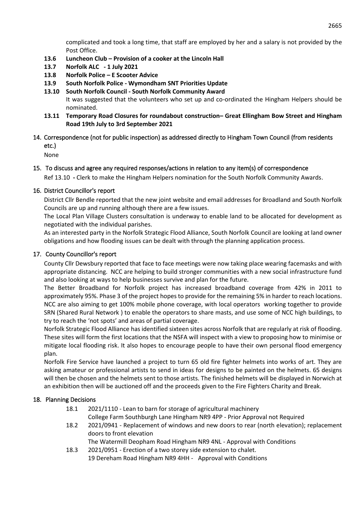complicated and took a long time, that staff are employed by her and a salary is not provided by the Post Office.

- **13.6 Luncheon Club – Provision of a cooker at the Lincoln Hall**
- **13.7 Norfolk ALC - 1 July 2021**
- **13.8 Norfolk Police – E Scooter Advice**
- **13.9 South Norfolk Police - Wymondham SNT Priorities Update**
- **13.10 South Norfolk Council - South Norfolk Community Award**

It was suggested that the volunteers who set up and co-ordinated the Hingham Helpers should be nominated.

- **13.11 Temporary Road Closures for roundabout construction– Great Ellingham Bow Street and Hingham Road 19th July to 3rd September 2021**
- 14. Correspondence (not for public inspection) as addressed directly to Hingham Town Council (from residents etc.)

None

# 15. To discuss and agree any required responses/actions in relation to any item(s) of correspondence

Ref 13.10 **-** Clerk to make the Hingham Helpers nomination for the South Norfolk Community Awards.

## 16. District Councillor's report

District Cllr Bendle reported that the new joint website and email addresses for Broadland and South Norfolk Councils are up and running although there are a few issues.

The Local Plan Village Clusters consultation is underway to enable land to be allocated for development as negotiated with the individual parishes.

As an interested party in the Norfolk Strategic Flood Alliance, South Norfolk Council are looking at land owner obligations and how flooding issues can be dealt with through the planning application process.

## 17. County Councillor's report

County Cllr Dewsbury reported that face to face meetings were now taking place wearing facemasks and with appropriate distancing. NCC are helping to build stronger communities with a new social infrastructure fund and also looking at ways to help businesses survive and plan for the future.

The Better Broadband for Norfolk project has increased broadband coverage from 42% in 2011 to approximately 95%. Phase 3 of the project hopes to provide for the remaining 5% in harder to reach locations. NCC are also aiming to get 100% mobile phone coverage, with local operators working together to provide SRN (Shared Rural Network ) to enable the operators to share masts, and use some of NCC high buildings, to try to reach the 'not spots' and areas of partial coverage.

Norfolk Strategic Flood Alliance has identified sixteen sites across Norfolk that are regularly at risk of flooding. These sites will form the first locations that the NSFA will inspect with a view to proposing how to minimise or mitigate local flooding risk. It also hopes to encourage people to have their own personal flood emergency plan.

Norfolk Fire Service have launched a project to turn 65 old fire fighter helmets into works of art. They are asking amateur or professional artists to send in ideas for designs to be painted on the helmets. 65 designs will then be chosen and the helmets sent to those artists. The finished helmets will be displayed in Norwich at an exhibition then will be auctioned off and the proceeds given to the Fire Fighters Charity and Break.

## 18. Planning Decisions

- 18.1 2021/1110 Lean to barn for storage of agricultural machinery College Farm Southburgh Lane Hingham NR9 4PP - Prior Approval not Required
- 18.2 2021/0941 Replacement of windows and new doors to rear (north elevation); replacement doors to front elevation

The Watermill Deopham Road Hingham NR9 4NL - Approval with Conditions

18.3 2021/0951 - Erection of a two storey side extension to chalet. 19 Dereham Road Hingham NR9 4HH - Approval with Conditions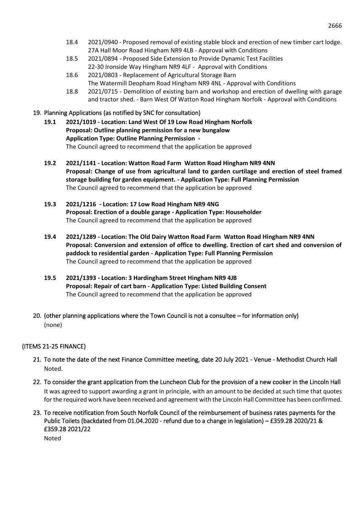- 18.4 2021/0940 Proposed removal of existing stable block and erection of new timber cart lodge. 27A Hall Moor Road Hingham NR9 4LB - Approval with Conditions
- 18.5 2021/0894 Proposed Side Extension to Provide Dynamic Test Facilities 22-30 Ironside Way Hingham NR9 4LF - Approval with Conditions
- 18.6 2021/0803 Replacement of Agricultural Storage Barn The Watermill Deopham Road Hingham NR9 4NL - Approval with Conditions
- 18.8 2021/0715 Demolition of existing barn and workshop and erection of dwelling with garage and tractor shed. - Barn West Of Watton Road Hingham Norfolk - Approval with Conditions

## 19. Planning Applications (as notified by SNC for consultation)

- **19.1 2021/1019 - Location: Land West Of 19 Low Road Hingham Norfolk Proposal: Outline planning permission for a new bungalow Application Type: Outline Planning Permission -** The Council agreed to recommend that the application be approved
- **19.2 2021/1141 - Location: Watton Road Farm Watton Road Hingham NR9 4NN Proposal: Change of use from agricultural land to garden curtilage and erection of steel framed storage building for garden equipment. - Application Type: Full Planning Permission** The Council agreed to recommend that the application be approved
- **19.3 2021/1216 - Location: 17 Low Road Hingham NR9 4NG Proposal: Erection of a double garage - Application Type: Householder** The Council agreed to recommend that the application be approved
- **19.4 2021/1289 - Location: The Old Dairy Watton Road Farm Watton Road Hingham NR9 4NN Proposal: Conversion and extension of office to dwelling. Erection of cart shed and conversion of paddock to residential garden - Application Type: Full Planning Permission** The Council agreed to recommend that the application be approved
- **19.5 2021/1393 - Location: 3 Hardingham Street Hingham NR9 4JB Proposal: Repair of cart barn - Application Type: Listed Building Consent** The Council agreed to recommend that the application be approved
- 20. (other planning applications where the Town Council is not a consultee for information only) (none)

## (ITEMS 21-25 FINANCE)

- 21. To note the date of the next Finance Committee meeting, date 20 July 2021 Venue Methodist Church Hall Noted.
- 22. To consider the grant application from the Luncheon Club for the provision of a new cooker in the Lincoln Hall It was agreed to support awarding a grant in principle, with an amount to be decided at such time that quotes for the required work have been received and agreement with the Lincoln Hall Committee has been confirmed.
- 23. To receive notification from South Norfolk Council of the reimbursement of business rates payments for the Public Toilets (backdated from 01.04.2020 - refund due to a change in legislation) – £359.28 2020/21 & £359.28 2021/22

Noted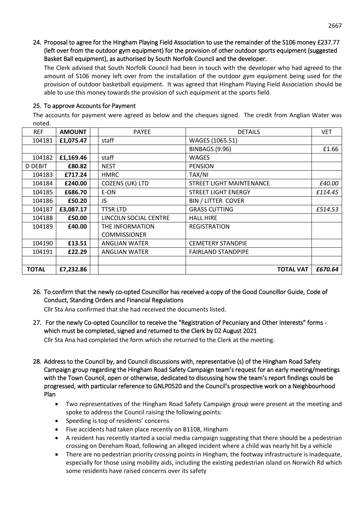24. Proposal to agree for the Hingham Playing Field Association to use the remainder of the S106 money £237.77 (left over from the outdoor gym equipment) for the provision of other outdoor sports equipment (suggested Basket Ball equipment), as authorised by South Norfolk Council and the developer.

The Clerk advised that South Norfolk Council had been in touch with the developer who had agreed to the amount of S106 money left over from the installation of the outdoor gym equipment being used for the provision of outdoor basketball equipment. It was agreed that Hingham Playing Field Association should be able to use this money towards the provision of such equipment at the sports field.

## 25. To approve Accounts for Payment

The accounts for payment were agreed as below and the cheques signed. The credit from Anglian Water was noted.

| <b>REF</b>   | <b>AMOUNT</b> | <b>PAYEE</b>          | <b>DETAILS</b>            | <b>VET</b> |
|--------------|---------------|-----------------------|---------------------------|------------|
| 104181       | £1,075.47     | staff                 | WAGES (1065.51)           |            |
|              |               |                       | <b>BINBAGS (9.96)</b>     | £1.66      |
| 104182       | £1,169.46     | staff                 | <b>WAGES</b>              |            |
| D DEBIT      | £80.82        | <b>NEST</b>           | <b>PENSION</b>            |            |
| 104183       | £717.24       | <b>HMRC</b>           | TAX/NI                    |            |
| 104184       | £240.00       | COZENS (UK) LTD       | STREET LIGHT MAINTENANCE  | £40.00     |
| 104185       | £686.70       | E-ON                  | STREET LIGHT ENERGY       | £114.45    |
| 104186       | £50.20        | JS.                   | <b>BIN / LITTER COVER</b> |            |
| 104187       | £3,087.17     | <b>TTSR LTD</b>       | <b>GRASS CUTTING</b>      | £514.53    |
| 104188       | £50.00        | LINCOLN SOCIAL CENTRE | <b>HALL HIRE</b>          |            |
| 104189       | £40.00        | THE INFORMATION       | <b>REGISTRATION</b>       |            |
|              |               | <b>COMMISSIONER</b>   |                           |            |
| 104190       | £13.51        | <b>ANGLIAN WATER</b>  | <b>CEMETERY STANDPIE</b>  |            |
| 104191       | £22.29        | <b>ANGLIAN WATER</b>  | <b>FAIRLAND STANDPIPE</b> |            |
|              |               |                       |                           |            |
| <b>TOTAL</b> | £7,232.86     |                       | <b>TOTAL VAT</b>          | £670.64    |

26. To confirm that the newly co-opted Councillor has received a copy of the Good Councillor Guide, Code of Conduct, Standing Orders and Financial Regulations

Cllr Sta Ana confirmed that she had received the documents listed.

27. For the newly Co-opted Councillor to receive the "Registration of Pecuniary and Other Interests" forms which must be completed, signed and returned to the Clerk by 02 August 2021

Cllr Sta Ana had completed the form which she returned to the Clerk at the meeting.

- 28. Address to the Council by, and Council discussions with, representative (s) of the Hingham Road Safety Campaign group regarding the Hingham Road Safety Campaign team's request for an early meeting/meetings with the Town Council, open or otherwise, dedicated to discussing how the team's report findings could be progressed, with particular reference to GNLP0520 and the Council's prospective work on a Neighbourhood Plan
	- Two representatives of the Hingham Road Safety Campaign group were present at the meeting and spoke to address the Council raising the following points:
	- Speeding is top of residents' concerns
	- Five accidents had taken place recently on B1108, Hingham
	- A resident has recently started a social media campaign suggesting that there should be a pedestrian crossing on Dereham Road, following an alleged incident where a child was nearly hit by a vehicle
	- There are no pedestrian priority crossing points in Hingham, the footway infrastructure is inadequate, especially for those using mobility aids, including the existing pedestrian island on Norwich Rd which some residents have raised concerns over its safety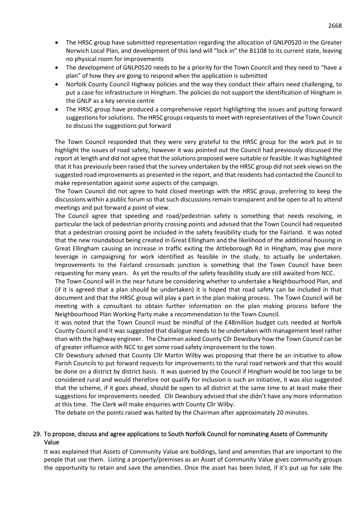- The HRSC group have submitted representation regarding the allocation of GNLP0520 in the Greater Norwich Local Plan, and development of this land will "lock in" the B1108 to its current state, leaving no physical room for improvements
- The development of GNLP0520 needs to be a priority for the Town Council and they need to "have a plan" of how they are going to respond when the application is submitted
- Norfolk County Council Highway policies and the way they conduct their affairs need challenging, to put a case for infrastructure in Hingham. The policies do not support the identification of Hingham in the GNLP as a key service centre
- The HRSC group have produced a comprehensive report highlighting the issues and putting forward suggestions for solutions. The HRSC groups requests to meet with representatives of the Town Council to discuss the suggestions put forward

The Town Council responded that they were very grateful to the HRSC group for the work put in to highlight the issues of road safety, however it was pointed out the Council had previously discussed the report at length and did not agree that the solutions proposed were suitable or feasible. It was highlighted that it has previously been raised that the survey undertaken by the HRSC group did not seek views on the suggested road improvements as presented in the report, and that residents had contacted the Council to make representation against some aspects of the campaign.

The Town Council did not agree to hold closed meetings with the HRSC group, preferring to keep the discussions within a public forum so that such discussions remain transparent and be open to all to attend meetings and put forward a point of view.

The Council agree that speeding and road/pedestrian safety is something that needs resolving, in particular the lack of pedestrian priority crossing points and advised that the Town Council had requested that a pedestrian crossing point be included in the safety feasibility study for the Fairland. It was noted that the new roundabout being created in Great Ellingham and the likelihood of the additional housing in Great Ellingham causing an increase in traffic exiting the Attleborough Rd in Hingham, may give more leverage in campaigning for work identified as feasible in the study, to actually be undertaken. Improvements to the Fairland crossroads junction is something that the Town Council have been requesting for many years. As yet the results of the safety feasibility study are still awaited from NCC.

The Town Council will in the near future be considering whether to undertake a Neighbourhood Plan, and (if it is agreed that a plan should be undertaken) it is hoped that road safety can be included in that document and that the HRSC group will play a part in the plan making process. The Town Council will be meeting with a consultant to obtain further information on the plan making process before the Neighbourhood Plan Working Party make a recommendation to the Town Council.

It was noted that the Town Council must be mindful of the £48million budget cuts needed at Norfolk County Council and it was suggested that dialogue needs to be undertaken with management level rather than with the highway engineer. The Chairman asked County Cllr Dewsbury how the Town Council can be of greater influence with NCC to get some road safety improvement to the town.

Cllr Dewsbury advised that County Cllr Martin Wilby was proposing that there be an initiative to allow Parish Councils to put forward requests for improvements to the rural road network and that this would be done on a district by district basis. It was queried by the Council if Hingham would be too large to be considered rural and would therefore not qualify for inclusion is such an initiative, it was also suggested that the scheme, if it goes ahead, should be open to all district at the same time to at least make their suggestions for improvements needed. Cllr Dewsbury advised that she didn't have any more information at this time. The Clerk will make enquiries with County Cllr Wilby.

The debate on the points raised was halted by the Chairman after approximately 20 minutes.

## 29. To propose, discuss and agree applications to South Norfolk Council for nominating Assets of Community Value

It was explained that Assets of Community Value are buildings, land and amenities that are important to the people that use them. Listing a property/premises as an Asset of Community Value gives community groups the opportunity to retain and save the amenities. Once the asset has been listed, if it's put up for sale the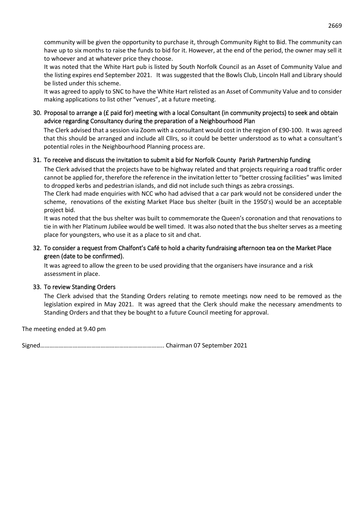community will be given the opportunity to purchase it, through Community Right to Bid. The community can have up to six months to raise the funds to bid for it. However, at the end of the period, the owner may sell it to whoever and at whatever price they choose.

It was noted that the White Hart pub is listed by South Norfolk Council as an Asset of Community Value and the listing expires end September 2021. It was suggested that the Bowls Club, Lincoln Hall and Library should be listed under this scheme.

It was agreed to apply to SNC to have the White Hart relisted as an Asset of Community Value and to consider making applications to list other "venues", at a future meeting.

## 30. Proposal to arrange a (£ paid for) meeting with a local Consultant (in community projects) to seek and obtain advice regarding Consultancy during the preparation of a Neighbourhood Plan

The Clerk advised that a session via Zoom with a consultant would cost in the region of £90-100. It was agreed that this should be arranged and include all Cllrs, so it could be better understood as to what a consultant's potential roles in the Neighbourhood Planning process are.

## 31. To receive and discuss the invitation to submit a bid for Norfolk County Parish Partnership funding

The Clerk advised that the projects have to be highway related and that projects requiring a road traffic order cannot be applied for, therefore the reference in the invitation letter to "better crossing facilities" was limited to dropped kerbs and pedestrian islands, and did not include such things as zebra crossings.

The Clerk had made enquiries with NCC who had advised that a car park would not be considered under the scheme, renovations of the existing Market Place bus shelter (built in the 1950's) would be an acceptable project bid.

It was noted that the bus shelter was built to commemorate the Queen's coronation and that renovations to tie in with her Platinum Jubilee would be well timed. It was also noted that the bus shelter serves as a meeting place for youngsters, who use it as a place to sit and chat.

## 32. To consider a request from Chalfont's Café to hold a charity fundraising afternoon tea on the Market Place green (date to be confirmed).

It was agreed to allow the green to be used providing that the organisers have insurance and a risk assessment in place.

## 33. To review Standing Orders

The Clerk advised that the Standing Orders relating to remote meetings now need to be removed as the legislation expired in May 2021. It was agreed that the Clerk should make the necessary amendments to Standing Orders and that they be bought to a future Council meeting for approval.

The meeting ended at 9.40 pm

Signed…………………………………………………………………….. Chairman 07 September 2021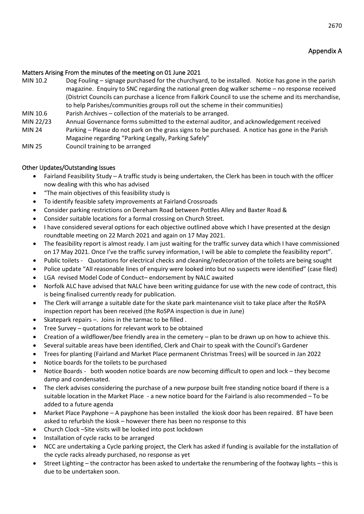## Matters Arising From the minutes of the meeting on 01 June 2021

- MIN 10.2 Dog Fouling signage purchased for the churchyard, to be installed. Notice has gone in the parish magazine. Enquiry to SNC regarding the national green dog walker scheme – no response received (District Councils can purchase a licence from Falkirk Council to use the scheme and its merchandise, to help Parishes/communities groups roll out the scheme in their communities) MIN 10.6 Parish Archives – collection of the materials to be arranged.
- MIN 22/23 Annual Governance forms submitted to the external auditor, and acknowledgement received
- MIN 24 Parking Please do not park on the grass signs to be purchased. A notice has gone in the Parish Magazine regarding "Parking Legally, Parking Safely"
- MIN 25 Council training to be arranged

# Other Updates/Outstanding Issues

- Fairland Feasibility Study A traffic study is being undertaken, the Clerk has been in touch with the officer now dealing with this who has advised
- "The main objectives of this feasibility study is
- To identify feasible safety improvements at Fairland Crossroads
- Consider parking restrictions on Dereham Road between Pottles Alley and Baxter Road &
- Consider suitable locations for a formal crossing on Church Street.
- I have considered several options for each objective outlined above which I have presented at the design roundtable meeting on 22 March 2021 and again on 17 May 2021.
- The feasibility report is almost ready. I am just waiting for the traffic survey data which I have commissioned on 17 May 2021. Once I've the traffic survey information, I will be able to complete the feasibility report".
- Public toilets Quotations for electrical checks and cleaning/redecoration of the toilets are being sought
- Police update "All reasonable lines of enquiry were looked into but no suspects were identified" (case filed)
- LGA revised Model Code of Conduct– endorsement by NALC awaited
- Norfolk ALC have advised that NALC have been writing guidance for use with the new code of contract, this is being finalised currently ready for publication.
- The Clerk will arrange a suitable date for the skate park maintenance visit to take place after the RoSPA inspection report has been received (the RoSPA inspection is due in June)
- Skatepark repairs –. Joins in the tarmac to be filled .
- Tree Survey quotations for relevant work to be obtained
- Creation of a wildflower/bee friendly area in the cemetery plan to be drawn up on how to achieve this.
- Several suitable areas have been identified, Clerk and Chair to speak with the Council's Gardener
- Trees for planting (Fairland and Market Place permanent Christmas Trees) will be sourced in Jan 2022
- Notice boards for the toilets to be purchased
- Notice Boards both wooden notice boards are now becoming difficult to open and lock they become damp and condensated.
- The clerk advises considering the purchase of a new purpose built free standing notice board if there is a suitable location in the Market Place - a new notice board for the Fairland is also recommended – To be added to a future agenda
- Market Place Payphone A payphone has been installed the kiosk door has been repaired. BT have been asked to refurbish the kiosk – however there has been no response to this
- Church Clock –Site visits will be looked into post lockdown
- Installation of cycle racks to be arranged
- NCC are undertaking a Cycle parking project, the Clerk has asked if funding is available for the installation of the cycle racks already purchased, no response as yet
- Street Lighting the contractor has been asked to undertake the renumbering of the footway lights this is due to be undertaken soon.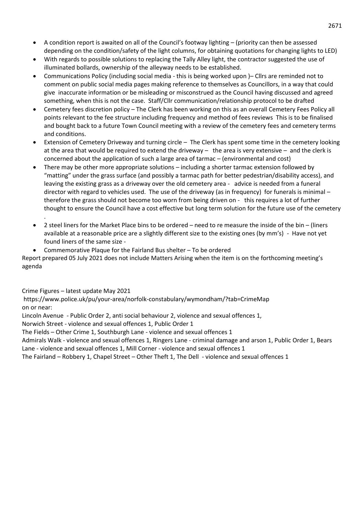- A condition report is awaited on all of the Council's footway lighting (priority can then be assessed depending on the condition/safety of the light columns, for obtaining quotations for changing lights to LED)
- With regards to possible solutions to replacing the Tally Alley light, the contractor suggested the use of illuminated bollards, ownership of the alleyway needs to be established.
- Communications Policy (including social media this is being worked upon )– Cllrs are reminded not to comment on public social media pages making reference to themselves as Councillors, in a way that could give inaccurate information or be misleading or misconstrued as the Council having discussed and agreed something, when this is not the case. Staff/Cllr communication/relationship protocol to be drafted
- Cemetery fees discretion policy The Clerk has been working on this as an overall Cemetery Fees Policy all points relevant to the fee structure including frequency and method of fees reviews This is to be finalised and bought back to a future Town Council meeting with a review of the cemetery fees and cemetery terms and conditions.
- Extension of Cemetery Driveway and turning circle The Clerk has spent some time in the cemetery looking at the area that would be required to extend the driveway – the area is very extensive – and the clerk is concerned about the application of such a large area of tarmac – (environmental and cost)
- There may be other more appropriate solutions including a shorter tarmac extension followed by "matting" under the grass surface (and possibly a tarmac path for better pedestrian/disability access), and leaving the existing grass as a driveway over the old cemetery area - advice is needed from a funeral director with regard to vehicles used. The use of the driveway (as in frequency) for funerals is minimal therefore the grass should not become too worn from being driven on - this requires a lot of further thought to ensure the Council have a cost effective but long term solution for the future use of the cemetery
- 2 steel liners for the Market Place bins to be ordered need to re measure the inside of the bin (liners available at a reasonable price are a slightly different size to the existing ones (by mm's) - Have not yet found liners of the same size -
- Commemorative Plaque for the Fairland Bus shelter To be ordered

Report prepared 05 July 2021 does not include Matters Arising when the item is on the forthcoming meeting's agenda

Crime Figures – latest update May 2021

.

https://www.police.uk/pu/your-area/norfolk-constabulary/wymondham/?tab=CrimeMap on or near:

Lincoln Avenue - Public Order 2, anti social behaviour 2, violence and sexual offences 1,

Norwich Street - violence and sexual offences 1, Public Order 1

The Fields – Other Crime 1, Southburgh Lane - violence and sexual offences 1

Admirals Walk - violence and sexual offences 1, Ringers Lane - criminal damage and arson 1, Public Order 1, Bears Lane - violence and sexual offences 1, Mill Corner - violence and sexual offences 1

The Fairland – Robbery 1, Chapel Street – Other Theft 1, The Dell - violence and sexual offences 1